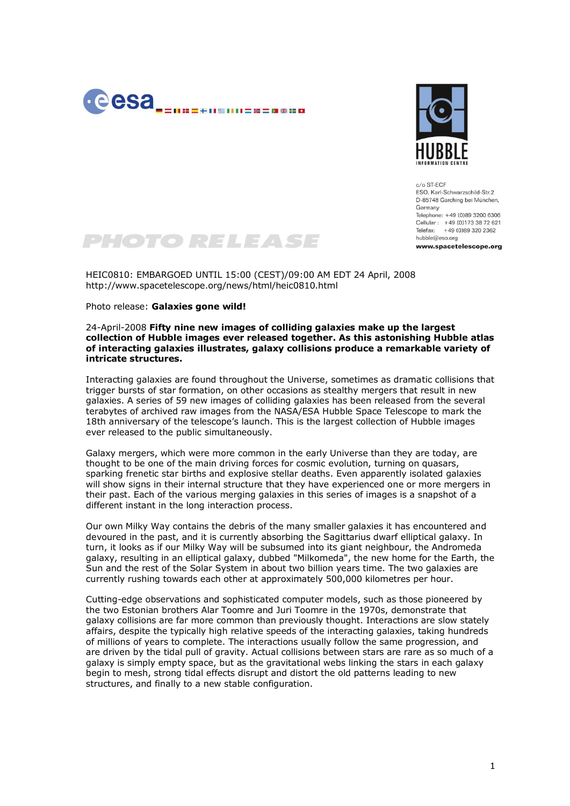



 $c/\alpha$  ST-FCF FSO, Karl-Schwarzschild-Str.2 D-85748 Garching bei München, Germany Telephone: +49 (0)89 3200 6306 Cellular : +49 (0)173 38 72 621 Telefax: +49 (0)89 320 2362 hubble@eso.org

www.spacetelescope.org

## PHOTO RELEASE

HEIC0810: EMBARGOED UNTIL 15:00 (CEST)/09:00 AM EDT 24 April, 2008 http://www.spacetelescope.org/news/html/heic0810.html

Photo release: **Galaxies gone wild!**

## 24-April-2008 **Fifty nine new images of colliding galaxies make up the largest collection of Hubble images ever released together. As this astonishing Hubble atlas of interacting galaxies illustrates, galaxy collisions produce a remarkable variety of intricate structures.**

Interacting galaxies are found throughout the Universe, sometimes as dramatic collisions that trigger bursts of star formation, on other occasions as stealthy mergers that result in new galaxies. A series of 59 new images of colliding galaxies has been released from the several terabytes of archived raw images from the NASA/ESA Hubble Space Telescope to mark the 18th anniversary of the telescope's launch. This is the largest collection of Hubble images ever released to the public simultaneously.

Galaxy mergers, which were more common in the early Universe than they are today, are thought to be one of the main driving forces for cosmic evolution, turning on quasars, sparking frenetic star births and explosive stellar deaths. Even apparently isolated galaxies will show signs in their internal structure that they have experienced one or more mergers in their past. Each of the various merging galaxies in this series of images is a snapshot of a different instant in the long interaction process.

Our own Milky Way contains the debris of the many smaller galaxies it has encountered and devoured in the past, and it is currently absorbing the Sagittarius dwarf elliptical galaxy. In turn, it looks as if our Milky Way will be subsumed into its giant neighbour, the Andromeda galaxy, resulting in an elliptical galaxy, dubbed "Milkomeda", the new home for the Earth, the Sun and the rest of the Solar System in about two billion years time. The two galaxies are currently rushing towards each other at approximately 500,000 kilometres per hour.

Cutting-edge observations and sophisticated computer models, such as those pioneered by the two Estonian brothers Alar Toomre and Juri Toomre in the 1970s, demonstrate that galaxy collisions are far more common than previously thought. Interactions are slow stately affairs, despite the typically high relative speeds of the interacting galaxies, taking hundreds of millions of years to complete. The interactions usually follow the same progression, and are driven by the tidal pull of gravity. Actual collisions between stars are rare as so much of a galaxy is simply empty space, but as the gravitational webs linking the stars in each galaxy begin to mesh, strong tidal effects disrupt and distort the old patterns leading to new structures, and finally to a new stable configuration.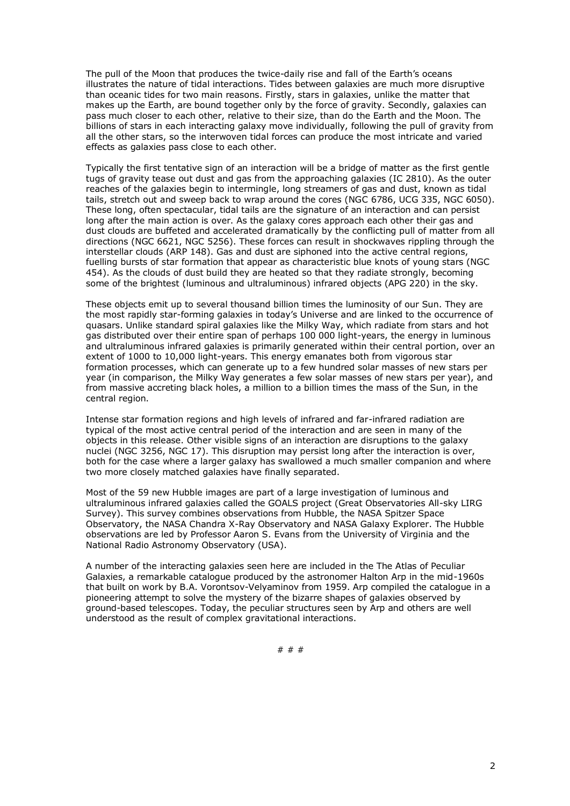The pull of the Moon that produces the twice-daily rise and fall of the Earth's oceans illustrates the nature of tidal interactions. Tides between galaxies are much more disruptive than oceanic tides for two main reasons. Firstly, stars in galaxies, unlike the matter that makes up the Earth, are bound together only by the force of gravity. Secondly, galaxies can pass much closer to each other, relative to their size, than do the Earth and the Moon. The billions of stars in each interacting galaxy move individually, following the pull of gravity from all the other stars, so the interwoven tidal forces can produce the most intricate and varied effects as galaxies pass close to each other.

Typically the first tentative sign of an interaction will be a bridge of matter as the first gentle tugs of gravity tease out dust and gas from the approaching galaxies (IC 2810). As the outer reaches of the galaxies begin to intermingle, long streamers of gas and dust, known as tidal tails, stretch out and sweep back to wrap around the cores (NGC 6786, UCG 335, NGC 6050). These long, often spectacular, tidal tails are the signature of an interaction and can persist long after the main action is over. As the galaxy cores approach each other their gas and dust clouds are buffeted and accelerated dramatically by the conflicting pull of matter from all directions (NGC 6621, NGC 5256). These forces can result in shockwaves rippling through the interstellar clouds (ARP 148). Gas and dust are siphoned into the active central regions, fuelling bursts of star formation that appear as characteristic blue knots of young stars (NGC 454). As the clouds of dust build they are heated so that they radiate strongly, becoming some of the brightest (luminous and ultraluminous) infrared objects (APG 220) in the sky.

These objects emit up to several thousand billion times the luminosity of our Sun. They are the most rapidly star-forming galaxies in today's Universe and are linked to the occurrence of quasars. Unlike standard spiral galaxies like the Milky Way, which radiate from stars and hot gas distributed over their entire span of perhaps 100 000 light-years, the energy in luminous and ultraluminous infrared galaxies is primarily generated within their central portion, over an extent of 1000 to 10,000 light-years. This energy emanates both from vigorous star formation processes, which can generate up to a few hundred solar masses of new stars per year (in comparison, the Milky Way generates a few solar masses of new stars per year), and from massive accreting black holes, a million to a billion times the mass of the Sun, in the central region.

Intense star formation regions and high levels of infrared and far-infrared radiation are typical of the most active central period of the interaction and are seen in many of the objects in this release. Other visible signs of an interaction are disruptions to the galaxy nuclei (NGC 3256, NGC 17). This disruption may persist long after the interaction is over, both for the case where a larger galaxy has swallowed a much smaller companion and where two more closely matched galaxies have finally separated.

Most of the 59 new Hubble images are part of a large investigation of luminous and ultraluminous infrared galaxies called the GOALS project (Great Observatories All-sky LIRG Survey). This survey combines observations from Hubble, the NASA Spitzer Space Observatory, the NASA Chandra X-Ray Observatory and NASA Galaxy Explorer. The Hubble observations are led by Professor Aaron S. Evans from the University of Virginia and the National Radio Astronomy Observatory (USA).

A number of the interacting galaxies seen here are included in the The Atlas of Peculiar Galaxies, a remarkable catalogue produced by the astronomer Halton Arp in the mid-1960s that built on work by B.A. Vorontsov-Velyaminov from 1959. Arp compiled the catalogue in a pioneering attempt to solve the mystery of the bizarre shapes of galaxies observed by ground-based telescopes. Today, the peculiar structures seen by Arp and others are well understood as the result of complex gravitational interactions.

# # #